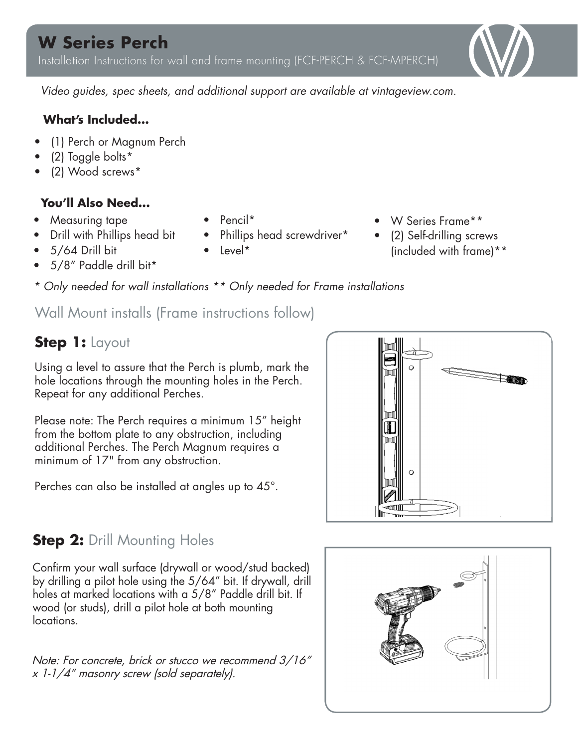

*Video guides, spec sheets, and additional support are available at vintageview.com.* 

#### **What's Included...**

- (1) Perch or Magnum Perch
- (2) Toggle bolts\*
- (2) Wood screws\*

#### **You'll Also Need...**

- Measuring tape
- Drill with Phillips head bit
- 5/64 Drill bit
- 5/8" Paddle drill bit\*
- Pencil\*
- Phillips head screwdriver\*
- Level\*
- W Series Frame\*\*
- (2) Self-drilling screws (included with frame)\*\*
- *\* Only needed for wall installations \*\* Only needed for Frame installations*

Wall Mount installs (Frame instructions follow)

### **Step 1:** Layout

Using a level to assure that the Perch is plumb, mark the hole locations through the mounting holes in the Perch. Repeat for any additional Perches.

Please note: The Perch requires a minimum 15" height from the bottom plate to any obstruction, including additional Perches. The Perch Magnum requires a minimum of 17" from any obstruction.

Perches can also be installed at angles up to 45°.



# **Step 2: Drill Mounting Holes**

Confirm your wall surface (drywall or wood/stud backed) by drilling a pilot hole using the 5/64" bit. If drywall, drill holes at marked locations with a 5/8" Paddle drill bit. If wood (or studs), drill a pilot hole at both mounting locations.

Note: For concrete, brick or stucco we recommend 3/16" x 1-1/4" masonry screw (sold separately).

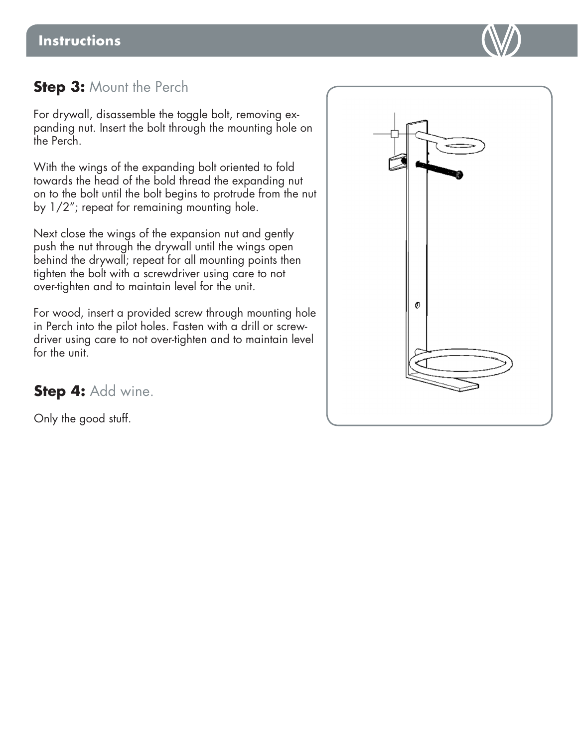

### **Step 3: Mount the Perch**

For drywall, disassemble the toggle bolt, removing expanding nut. Insert the bolt through the mounting hole on the Perch.

With the wings of the expanding bolt oriented to fold towards the head of the bold thread the expanding nut on to the bolt until the bolt begins to protrude from the nut by 1/2"; repeat for remaining mounting hole.

Next close the wings of the expansion nut and gently push the nut through the drywall until the wings open behind the drywall; repeat for all mounting points then tighten the bolt with a screwdriver using care to not over-tighten and to maintain level for the unit.

For wood, insert a provided screw through mounting hole in Perch into the pilot holes. Fasten with a drill or screwdriver using care to not over-tighten and to maintain level for the unit.



**Step 4:** Add wine.

Only the good stuff.